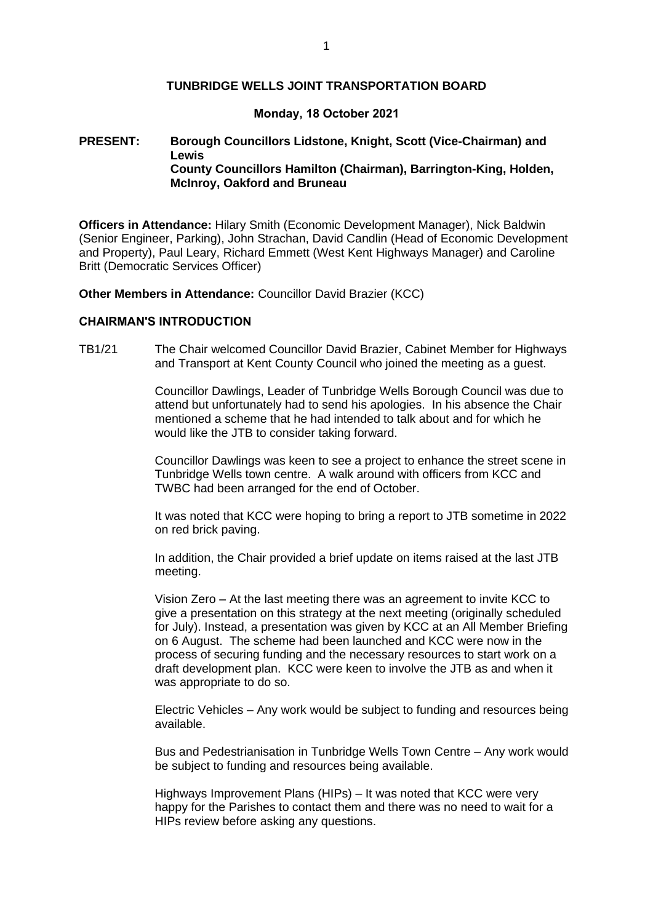#### **TUNBRIDGE WELLS JOINT TRANSPORTATION BOARD**

#### **Monday, 18 October 2021**

## **PRESENT: Borough Councillors Lidstone, Knight, Scott (Vice-Chairman) and Lewis County Councillors Hamilton (Chairman), Barrington-King, Holden, McInroy, Oakford and Bruneau**

**Officers in Attendance:** Hilary Smith (Economic Development Manager), Nick Baldwin (Senior Engineer, Parking), John Strachan, David Candlin (Head of Economic Development and Property), Paul Leary, Richard Emmett (West Kent Highways Manager) and Caroline Britt (Democratic Services Officer)

**Other Members in Attendance:** Councillor David Brazier (KCC)

### **CHAIRMAN'S INTRODUCTION**

TB1/21 The Chair welcomed Councillor David Brazier, Cabinet Member for Highways and Transport at Kent County Council who joined the meeting as a guest.

> Councillor Dawlings, Leader of Tunbridge Wells Borough Council was due to attend but unfortunately had to send his apologies. In his absence the Chair mentioned a scheme that he had intended to talk about and for which he would like the JTB to consider taking forward.

> Councillor Dawlings was keen to see a project to enhance the street scene in Tunbridge Wells town centre. A walk around with officers from KCC and TWBC had been arranged for the end of October.

> It was noted that KCC were hoping to bring a report to JTB sometime in 2022 on red brick paving.

In addition, the Chair provided a brief update on items raised at the last JTB meeting.

Vision Zero – At the last meeting there was an agreement to invite KCC to give a presentation on this strategy at the next meeting (originally scheduled for July). Instead, a presentation was given by KCC at an All Member Briefing on 6 August. The scheme had been launched and KCC were now in the process of securing funding and the necessary resources to start work on a draft development plan. KCC were keen to involve the JTB as and when it was appropriate to do so.

Electric Vehicles – Any work would be subject to funding and resources being available.

Bus and Pedestrianisation in Tunbridge Wells Town Centre – Any work would be subject to funding and resources being available.

Highways Improvement Plans (HIPs) – It was noted that KCC were very happy for the Parishes to contact them and there was no need to wait for a HIPs review before asking any questions.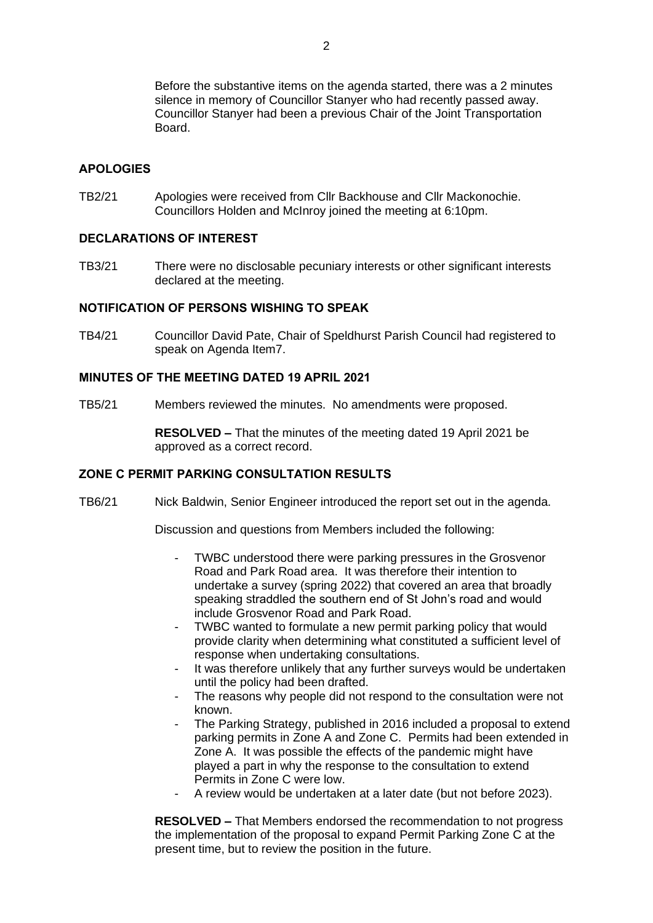Before the substantive items on the agenda started, there was a 2 minutes silence in memory of Councillor Stanyer who had recently passed away. Councillor Stanyer had been a previous Chair of the Joint Transportation Board.

### **APOLOGIES**

TB2/21 Apologies were received from Cllr Backhouse and Cllr Mackonochie. Councillors Holden and McInroy joined the meeting at 6:10pm.

## **DECLARATIONS OF INTEREST**

TB3/21 There were no disclosable pecuniary interests or other significant interests declared at the meeting.

### **NOTIFICATION OF PERSONS WISHING TO SPEAK**

TB4/21 Councillor David Pate, Chair of Speldhurst Parish Council had registered to speak on Agenda Item7.

# **MINUTES OF THE MEETING DATED 19 APRIL 2021**

TB5/21 Members reviewed the minutes. No amendments were proposed.

**RESOLVED –** That the minutes of the meeting dated 19 April 2021 be approved as a correct record.

### **ZONE C PERMIT PARKING CONSULTATION RESULTS**

TB6/21 Nick Baldwin, Senior Engineer introduced the report set out in the agenda.

Discussion and questions from Members included the following:

- TWBC understood there were parking pressures in the Grosvenor Road and Park Road area. It was therefore their intention to undertake a survey (spring 2022) that covered an area that broadly speaking straddled the southern end of St John's road and would include Grosvenor Road and Park Road.
- TWBC wanted to formulate a new permit parking policy that would provide clarity when determining what constituted a sufficient level of response when undertaking consultations.
- It was therefore unlikely that any further surveys would be undertaken until the policy had been drafted.
- The reasons why people did not respond to the consultation were not known.
- The Parking Strategy, published in 2016 included a proposal to extend parking permits in Zone A and Zone C. Permits had been extended in Zone A. It was possible the effects of the pandemic might have played a part in why the response to the consultation to extend Permits in Zone C were low.
- A review would be undertaken at a later date (but not before 2023).

**RESOLVED –** That Members endorsed the recommendation to not progress the implementation of the proposal to expand Permit Parking Zone C at the present time, but to review the position in the future.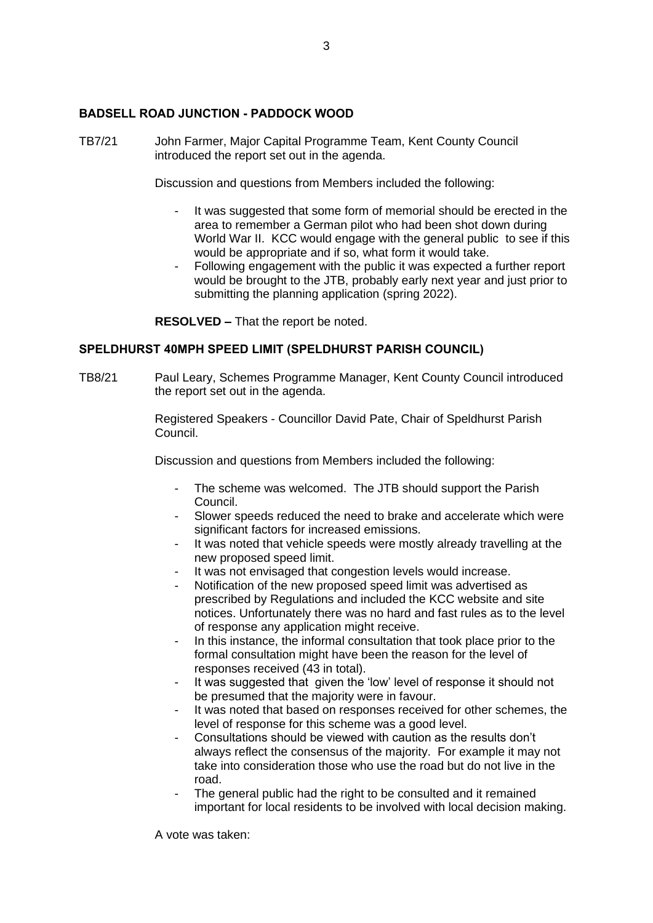## **BADSELL ROAD JUNCTION - PADDOCK WOOD**

TB7/21 John Farmer, Major Capital Programme Team, Kent County Council introduced the report set out in the agenda.

Discussion and questions from Members included the following:

- It was suggested that some form of memorial should be erected in the area to remember a German pilot who had been shot down during World War II. KCC would engage with the general public to see if this would be appropriate and if so, what form it would take.
- Following engagement with the public it was expected a further report would be brought to the JTB, probably early next year and just prior to submitting the planning application (spring 2022).

**RESOLVED –** That the report be noted.

### **SPELDHURST 40MPH SPEED LIMIT (SPELDHURST PARISH COUNCIL)**

TB8/21 Paul Leary, Schemes Programme Manager, Kent County Council introduced the report set out in the agenda.

> Registered Speakers - Councillor David Pate, Chair of Speldhurst Parish Council.

Discussion and questions from Members included the following:

- The scheme was welcomed. The JTB should support the Parish Council.
- Slower speeds reduced the need to brake and accelerate which were significant factors for increased emissions.
- It was noted that vehicle speeds were mostly already travelling at the new proposed speed limit.
- It was not envisaged that congestion levels would increase.
- Notification of the new proposed speed limit was advertised as prescribed by Regulations and included the KCC website and site notices. Unfortunately there was no hard and fast rules as to the level of response any application might receive.
- In this instance, the informal consultation that took place prior to the formal consultation might have been the reason for the level of responses received (43 in total).
- It was suggested that given the 'low' level of response it should not be presumed that the majority were in favour.
- It was noted that based on responses received for other schemes, the level of response for this scheme was a good level.
- Consultations should be viewed with caution as the results don't always reflect the consensus of the majority. For example it may not take into consideration those who use the road but do not live in the road.
- The general public had the right to be consulted and it remained important for local residents to be involved with local decision making.

A vote was taken: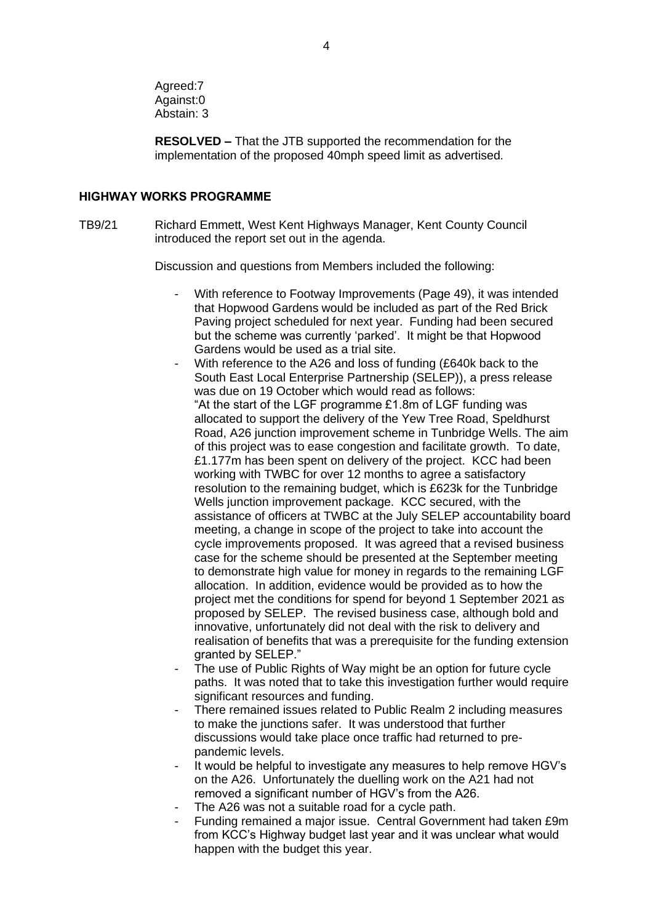Agreed:7 Against:0 Abstain: 3

**RESOLVED –** That the JTB supported the recommendation for the implementation of the proposed 40mph speed limit as advertised.

### **HIGHWAY WORKS PROGRAMME**

TB9/21 Richard Emmett, West Kent Highways Manager, Kent County Council introduced the report set out in the agenda.

Discussion and questions from Members included the following:

- With reference to Footway Improvements (Page 49), it was intended that Hopwood Gardens would be included as part of the Red Brick Paving project scheduled for next year. Funding had been secured but the scheme was currently 'parked'. It might be that Hopwood Gardens would be used as a trial site.
	- With reference to the A26 and loss of funding (£640k back to the South East Local Enterprise Partnership (SELEP)), a press release was due on 19 October which would read as follows: "At the start of the LGF programme £1.8m of LGF funding was allocated to support the delivery of the Yew Tree Road, Speldhurst Road, A26 junction improvement scheme in Tunbridge Wells. The aim of this project was to ease congestion and facilitate growth. To date, £1.177m has been spent on delivery of the project. KCC had been working with TWBC for over 12 months to agree a satisfactory resolution to the remaining budget, which is £623k for the Tunbridge Wells junction improvement package. KCC secured, with the assistance of officers at TWBC at the July SELEP accountability board meeting, a change in scope of the project to take into account the cycle improvements proposed. It was agreed that a revised business case for the scheme should be presented at the September meeting to demonstrate high value for money in regards to the remaining LGF allocation. In addition, evidence would be provided as to how the project met the conditions for spend for beyond 1 September 2021 as proposed by SELEP. The revised business case, although bold and innovative, unfortunately did not deal with the risk to delivery and realisation of benefits that was a prerequisite for the funding extension granted by SELEP."
- The use of Public Rights of Way might be an option for future cycle paths. It was noted that to take this investigation further would require significant resources and funding.
- There remained issues related to Public Realm 2 including measures to make the junctions safer. It was understood that further discussions would take place once traffic had returned to prepandemic levels.
- It would be helpful to investigate any measures to help remove HGV's on the A26. Unfortunately the duelling work on the A21 had not removed a significant number of HGV's from the A26.
- The A26 was not a suitable road for a cycle path.
- Funding remained a major issue. Central Government had taken £9m from KCC's Highway budget last year and it was unclear what would happen with the budget this year.